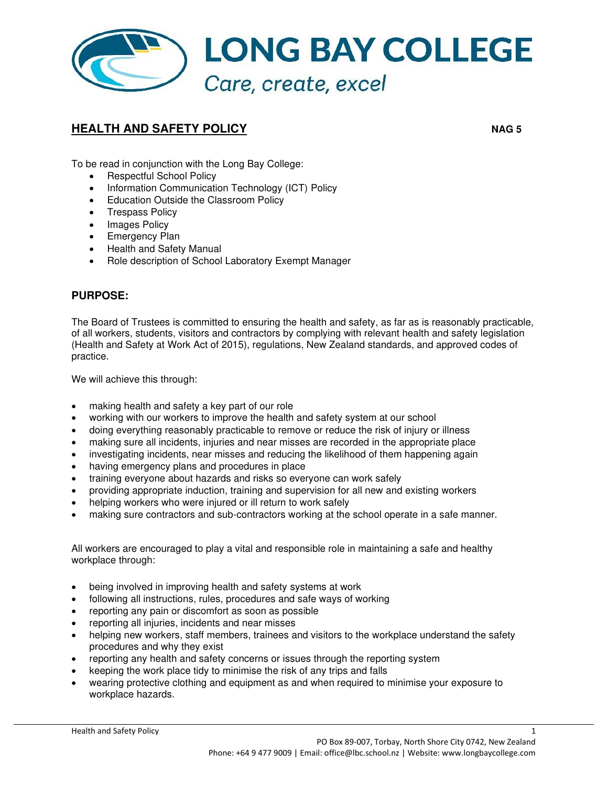

## **HEALTH AND SAFETY POLICY** *NAG 5*

To be read in conjunction with the Long Bay College:

- Respectful School Policy
- Information Communication Technology (ICT) Policy
- Education Outside the Classroom Policy
- Trespass Policy
- Images Policy
- Emergency Plan
- Health and Safety Manual
- Role description of School Laboratory Exempt Manager

## **PURPOSE:**

The Board of Trustees is committed to ensuring the health and safety, as far as is reasonably practicable, of all workers, students, visitors and contractors by complying with relevant health and safety legislation (Health and Safety at Work Act of 2015), regulations, New Zealand standards, and approved codes of practice.

We will achieve this through:

- making health and safety a key part of our role
- working with our workers to improve the health and safety system at our school
- doing everything reasonably practicable to remove or reduce the risk of injury or illness
- making sure all incidents, injuries and near misses are recorded in the appropriate place
- investigating incidents, near misses and reducing the likelihood of them happening again
- having emergency plans and procedures in place
- training everyone about hazards and risks so everyone can work safely
- providing appropriate induction, training and supervision for all new and existing workers
- helping workers who were injured or ill return to work safely
- making sure contractors and sub-contractors working at the school operate in a safe manner.

All workers are encouraged to play a vital and responsible role in maintaining a safe and healthy workplace through:

- being involved in improving health and safety systems at work
- following all instructions, rules, procedures and safe ways of working
- reporting any pain or discomfort as soon as possible
- reporting all injuries, incidents and near misses
- helping new workers, staff members, trainees and visitors to the workplace understand the safety procedures and why they exist
- reporting any health and safety concerns or issues through the reporting system
- keeping the work place tidy to minimise the risk of any trips and falls
- wearing protective clothing and equipment as and when required to minimise your exposure to workplace hazards.